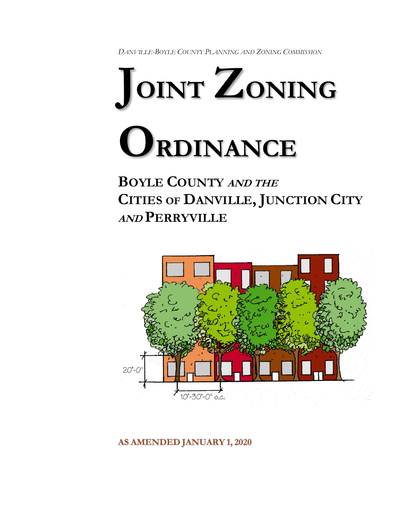*DANVILLE-BOYLE COUNTY PLANNING AND ZONING COMMISSION*



**BOYLE COUNTY AND THE CITIES OF DANVILLE, JUNCTION CITY AND PERRYVILLE**



**AS AMENDED JANUARY 1, 2020**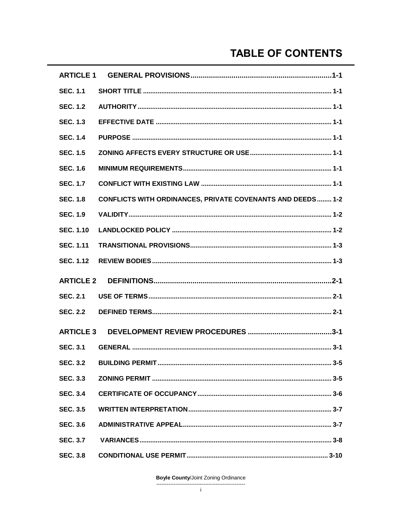# **TABLE OF CONTENTS**

| <b>ARTICLE 1</b> |                                                                   |
|------------------|-------------------------------------------------------------------|
| <b>SEC. 1.1</b>  |                                                                   |
| <b>SEC. 1.2</b>  |                                                                   |
| <b>SEC. 1.3</b>  |                                                                   |
| <b>SEC. 1.4</b>  |                                                                   |
| <b>SEC. 1.5</b>  |                                                                   |
| <b>SEC. 1.6</b>  |                                                                   |
| <b>SEC. 1.7</b>  |                                                                   |
| <b>SEC. 1.8</b>  | <b>CONFLICTS WITH ORDINANCES, PRIVATE COVENANTS AND DEEDS 1-2</b> |
| <b>SEC. 1.9</b>  |                                                                   |
| <b>SEC. 1.10</b> |                                                                   |
| <b>SEC. 1.11</b> |                                                                   |
| <b>SEC. 1.12</b> |                                                                   |
| <b>ARTICLE 2</b> |                                                                   |
| <b>SEC. 2.1</b>  |                                                                   |
| <b>SEC. 2.2</b>  |                                                                   |
| <b>ARTICLE 3</b> |                                                                   |
| <b>SEC. 3.1</b>  |                                                                   |
|                  | $3 - 5$                                                           |
| <b>SEC. 3.3</b>  |                                                                   |
| <b>SEC. 3.4</b>  |                                                                   |
| <b>SEC. 3.5</b>  |                                                                   |
| <b>SEC. 3.6</b>  |                                                                   |
| <b>SEC. 3.7</b>  |                                                                   |
|                  |                                                                   |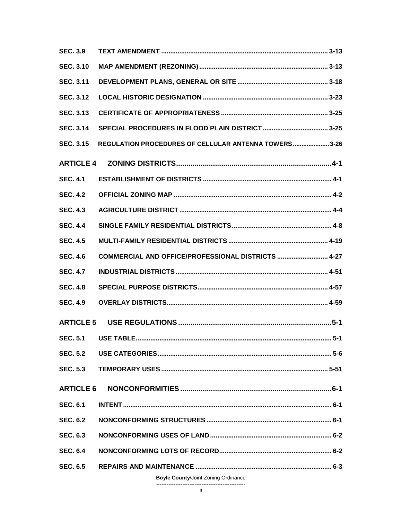| <b>SEC. 3.9</b>  |                                                      |     |  |
|------------------|------------------------------------------------------|-----|--|
| <b>SEC. 3.10</b> |                                                      |     |  |
| <b>SEC. 3.11</b> |                                                      |     |  |
| <b>SEC. 3.12</b> |                                                      |     |  |
| <b>SEC. 3.13</b> |                                                      |     |  |
| <b>SEC. 3.14</b> |                                                      |     |  |
| <b>SEC. 3.15</b> | REGULATION PROCEDURES OF CELLULAR ANTENNA TOWERS3-26 |     |  |
| <b>ARTICLE 4</b> |                                                      |     |  |
| <b>SEC. 4.1</b>  |                                                      |     |  |
| <b>SEC. 4.2</b>  |                                                      |     |  |
| <b>SEC. 4.3</b>  |                                                      |     |  |
| <b>SEC. 4.4</b>  |                                                      |     |  |
| <b>SEC. 4.5</b>  |                                                      |     |  |
| <b>SEC. 4.6</b>  | COMMERCIAL AND OFFICE/PROFESSIONAL DISTRICTS  4-27   |     |  |
| <b>SEC. 4.7</b>  |                                                      |     |  |
| <b>SEC. 4.8</b>  |                                                      |     |  |
| <b>SEC. 4.9</b>  |                                                      |     |  |
| <b>ARTICLE 5</b> |                                                      |     |  |
|                  |                                                      | 5-1 |  |
|                  |                                                      |     |  |
|                  |                                                      |     |  |
|                  |                                                      |     |  |
|                  |                                                      |     |  |
| <b>SEC. 6.1</b>  |                                                      |     |  |
| <b>SEC. 6.2</b>  |                                                      |     |  |
| <b>SEC. 6.3</b>  |                                                      |     |  |
| <b>SEC. 6.4</b>  |                                                      |     |  |
|                  |                                                      |     |  |

**Boyle County/Joint Zoning Ordinance**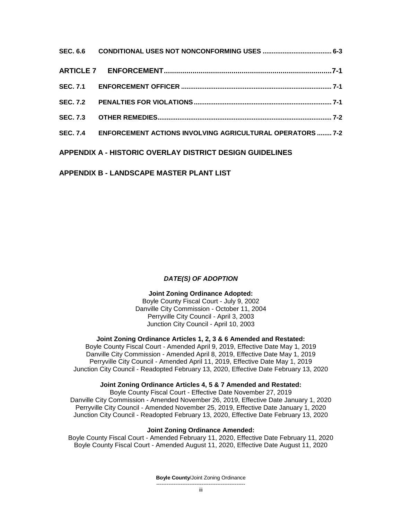| SEC. 7.4 ENFORCEMENT ACTIONS INVOLVING AGRICULTURAL OPERATORS  7-2 |  |
|--------------------------------------------------------------------|--|
| <b>APPENDIX A - HISTORIC OVERLAY DISTRICT DESIGN GUIDELINES</b>    |  |

## **APPENDIX B - LANDSCAPE MASTER PLANT LIST**

## *DATE(S) OF ADOPTION*

### **Joint Zoning Ordinance Adopted:**

Boyle County Fiscal Court - July 9, 2002 Danville City Commission - October 11, 2004 Perryville City Council - April 3, 2003 Junction City Council - April 10, 2003

### **Joint Zoning Ordinance Articles 1, 2, 3 & 6 Amended and Restated:**

Boyle County Fiscal Court - Amended April 9, 2019, Effective Date May 1, 2019 Danville City Commission - Amended April 8, 2019, Effective Date May 1, 2019 Perryville City Council - Amended April 11, 2019, Effective Date May 1, 2019 Junction City Council - Readopted February 13, 2020, Effective Date February 13, 2020

#### **Joint Zoning Ordinance Articles 4, 5 & 7 Amended and Restated:**

Boyle County Fiscal Court - Effective Date November 27, 2019 Danville City Commission - Amended November 26, 2019, Effective Date January 1, 2020 Perryville City Council - Amended November 25, 2019, Effective Date January 1, 2020 Junction City Council - Readopted February 13, 2020, Effective Date February 13, 2020

### **Joint Zoning Ordinance Amended:**

Boyle County Fiscal Court - Amended February 11, 2020, Effective Date February 11, 2020 Boyle County Fiscal Court - Amended August 11, 2020, Effective Date August 11, 2020